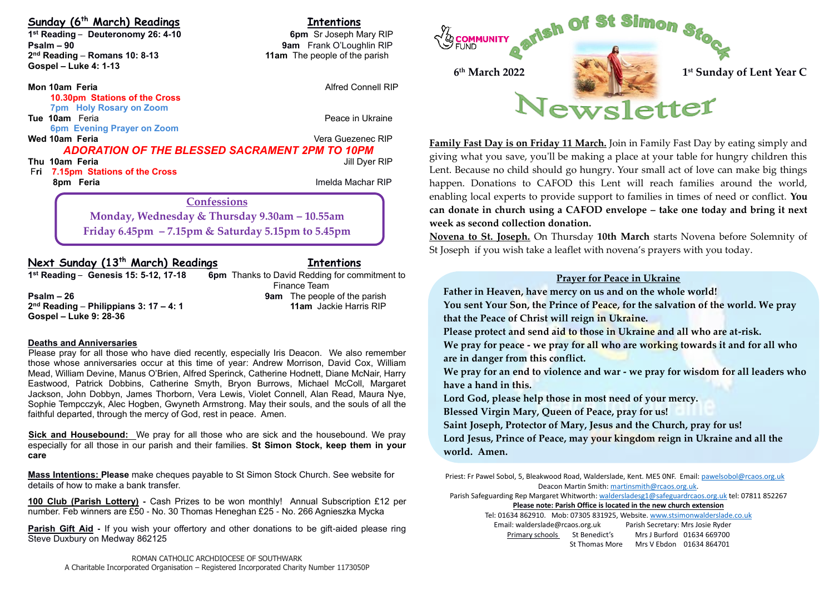## **Sunday (6 th March) Readings Intentions**

**1**<sup>st</sup> Reading – Deuteronomy 26: 4-10 **6pm** Sr Joseph Mary RIP **Psalm – 90 9am** Frank O'Loughlin RIP 2<sup>nd</sup> Reading - Romans 10: 8-13 **Gospel – Luke 4: 1-13**

#### **Mon 10am Feria Alfred Connell RIP Mon 10am Feria 10.30pm Stations of the Cross 7pm Holy Rosary on Zoom Tue 10am** Feria **Peace in Ukraine**

 **6pm Evening Prayer on Zoom** 

**Thu 10am Feria** Jill Dyer RIP F**ri 7.15pm Stations of the Cross**

**11am** The people of the parish

#### **Vera Guezenec RIP** *ADORATION OF THE BLESSED SACRAMENT 2PM TO 10PM*

**8pm Feria Imelda Machar RIP B Imelda Machar RIP** 

**6pm** Thanks to David Redding for commitment to Finance Team

**Confessions Monday, Wednesday & Thursday 9.30am – 10.55am Friday 6.45pm – 7.15pm & Saturday 5.15pm to 5.45pm**

## **Next Sunday (13th March) Readings Intentions**

1<sup>st</sup> Reading - Genesis 15: 5-12, 17-18

**Psalm – 26 9am** The people of the parish **2 nd Reading** – **Philippians 3: 17 – 4: 1 11am** Jackie Harris RIP **Gospel – Luke 9: 28-36** 

#### **Deaths and Anniversaries**

Please pray for all those who have died recently, especially Iris Deacon. We also remember those whose anniversaries occur at this time of year: Andrew Morrison, David Cox, William Mead, William Devine, Manus O'Brien, Alfred Sperinck, Catherine Hodnett, Diane McNair, Harry Eastwood, Patrick Dobbins, Catherine Smyth, Bryon Burrows, Michael McColl, Margaret Jackson, John Dobbyn, James Thorborn, Vera Lewis, Violet Connell, Alan Read, Maura Nye, Sophie Tempcczyk, Alec Hogben, Gwyneth Armstrong. May their souls, and the souls of all the faithful departed, through the mercy of God, rest in peace. Amen.

**Sick and Housebound:** We pray for all those who are sick and the housebound. We pray especially for all those in our parish and their families. **St Simon Stock, keep them in your care**

**Mass Intentions: Please** make cheques payable to St Simon Stock Church. See website for details of how to make a bank transfer.

**100 Club (Parish Lottery) -** Cash Prizes to be won monthly! Annual Subscription £12 per number. Feb winners are £50 - No. 30 Thomas Heneghan £25 - No. 266 Agnieszka Mycka

**Parish Gift Aid -** If you wish your offertory and other donations to be gift-aided please ring Steve Duxbury on Medway 862125



**Family Fast Day is on Friday 11 March.** Join in Family Fast Day by eating simply and giving what you save, you'll be making a place at your table for hungry children this Lent. Because no child should go hungry. Your small act of love can make big things happen. Donations to CAFOD this Lent will reach families around the world, enabling local experts to provide support to families in times of need or conflict. **You can donate in church using a CAFOD envelope – take one today and bring it next week as second collection donation.** 

**Novena to St. Joseph.** On Thursday **10th March** starts Novena before Solemnity of St Joseph if you wish take a leaflet with novena's prayers with you today.

#### **Prayer for Peace in Ukraine**

**Father in Heaven, have mercy on us and on the whole world!**

**You sent Your Son, the Prince of Peace, for the salvation of the world. We pray that the Peace of Christ will reign in Ukraine.**

**Please protect and send aid to those in Ukraine and all who are at-risk.**

**We pray for peace - we pray for all who are working towards it and for all who are in danger from this conflict.**

**We pray for an end to violence and war - we pray for wisdom for all leaders who have a hand in this.**

**Lord God, please help those in most need of your mercy.**

**Blessed Virgin Mary, Queen of Peace, pray for us!**

**Saint Joseph, Protector of Mary, Jesus and the Church, pray for us! Lord Jesus, Prince of Peace, may your kingdom reign in Ukraine and all the** 

**world. Amen.**

Priest: Fr Pawel Sobol, 5, Bleakwood Road, Walderslade, Kent. ME5 0NF. Email: pawelsobol@rcaos.org.uk Deacon Martin Smith[: martinsmith@rcaos.org.uk.](mailto:martinsmith@rcaos.org.uk)

Parish Safeguarding Rep Margaret Whitworth[: waldersladesg1@safeguardrcaos.org.uk](mailto:waldersladesg1@safeguardrcaos.org.uk) tel: 07811 852267

**Please note: Parish Office is located in the new church extension**

Tel: 01634 862910. Mob: 07305 831925, Website[. www.stsimonwalderslade.co.uk](http://www.stsimonwalderslade/) Email[: walderslade@rcaos.org.uk](mailto:walderslade@rcaos.org.uk) Parish Secretary: Mrs Josie Ryder Primary schools St Benedict's Mrs J Burford 01634 669700 St Thomas More Mrs V Ebdon 01634 864701